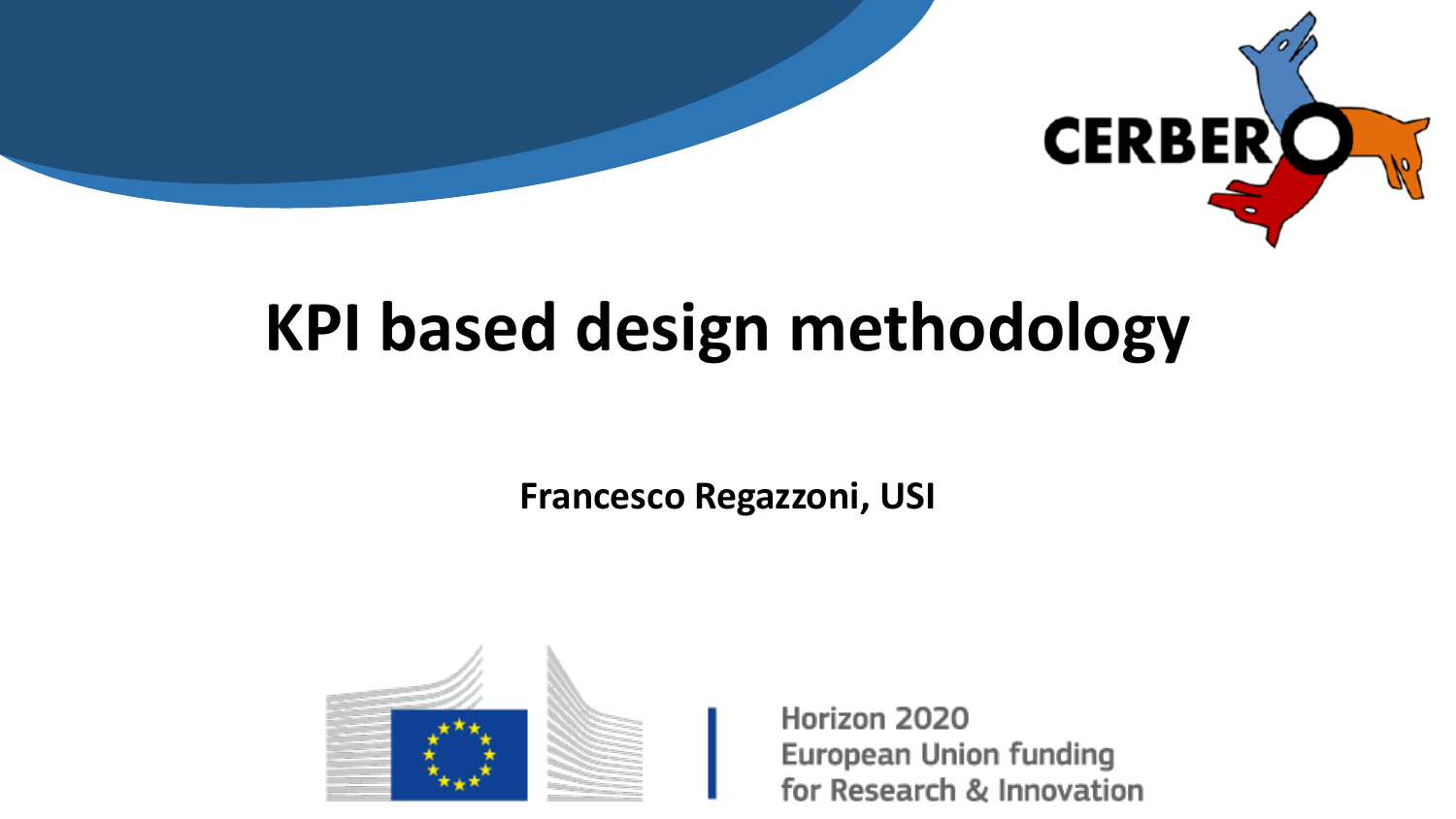

### **KPI based design methodology**

**Francesco Regazzoni, USI**



Horizon 2020 **European Union funding** for Research & Innovation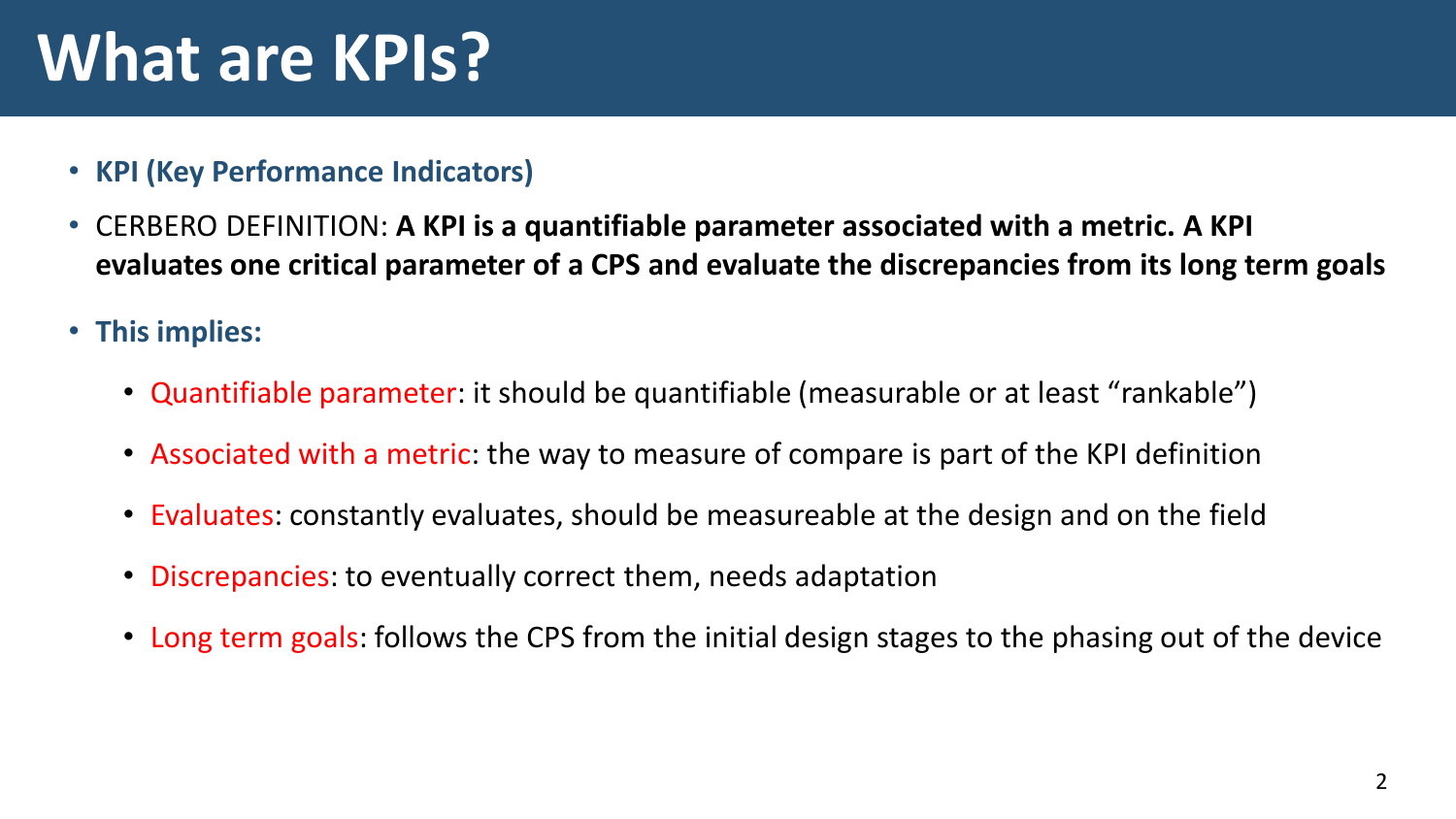## **What are KPIs?**

- **KPI (Key Performance Indicators)**
- CERBERO DEFINITION: **A KPI is a quantifiable parameter associated with a metric. A KPI evaluates one critical parameter of a CPS and evaluate the discrepancies from its long term goals**
- **This implies:**
	- Quantifiable parameter: it should be quantifiable (measurable or at least "rankable")
	- Associated with a metric: the way to measure of compare is part of the KPI definition
	- Evaluates: constantly evaluates, should be measureable at the design and on the field
	- Discrepancies: to eventually correct them, needs adaptation
	- Long term goals: follows the CPS from the initial design stages to the phasing out of the device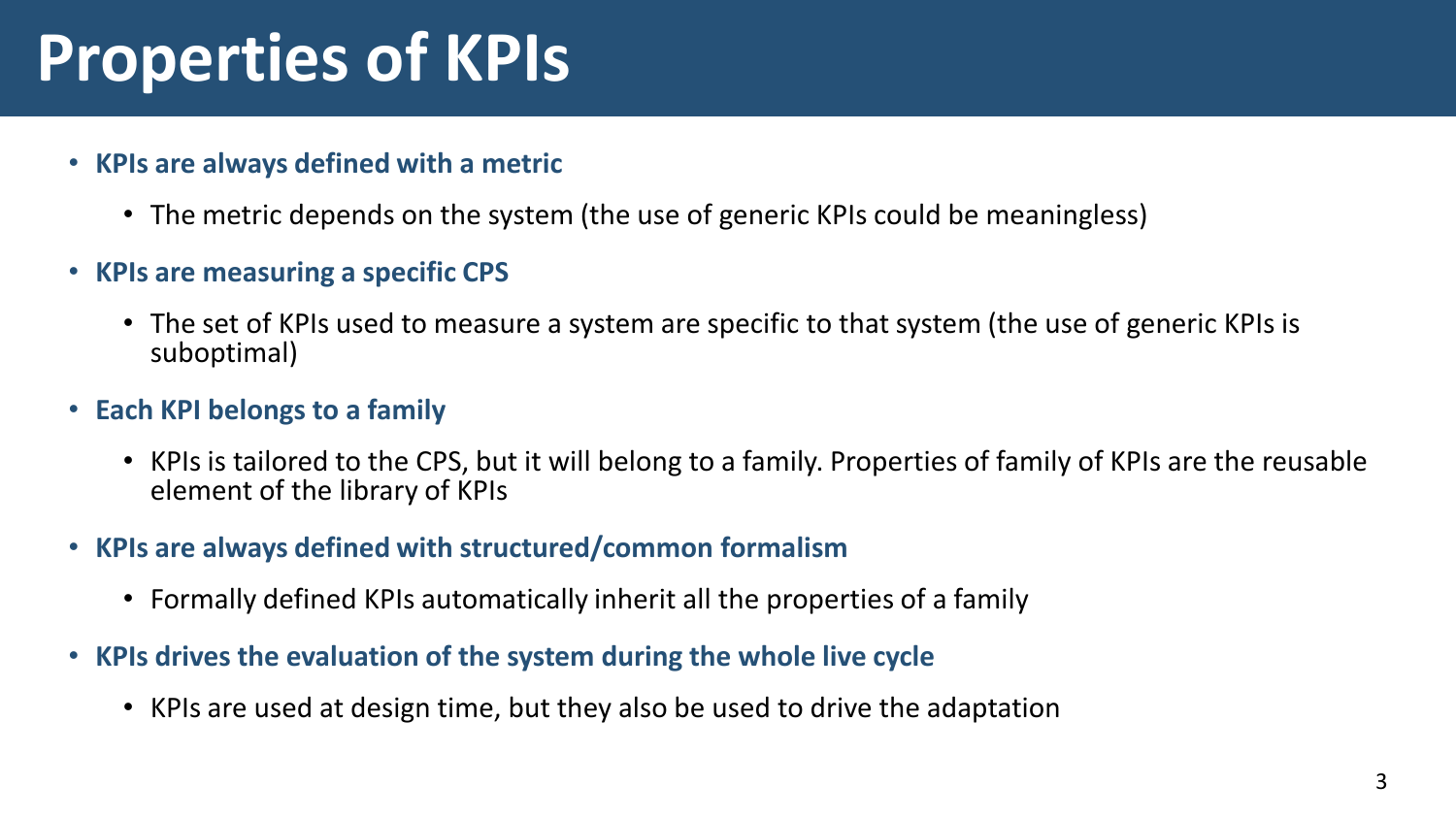### **Properties of KPIs**

- **KPIs are always defined with a metric**
	- The metric depends on the system (the use of generic KPIs could be meaningless)
- **KPIs are measuring a specific CPS**
	- The set of KPIs used to measure a system are specific to that system (the use of generic KPIs is suboptimal)
- **Each KPI belongs to a family**
	- KPIs is tailored to the CPS, but it will belong to a family. Properties of family of KPIs are the reusable element of the library of KPIs
- **KPIs are always defined with structured/common formalism**
	- Formally defined KPIs automatically inherit all the properties of a family
- **KPIs drives the evaluation of the system during the whole live cycle**
	- KPIs are used at design time, but they also be used to drive the adaptation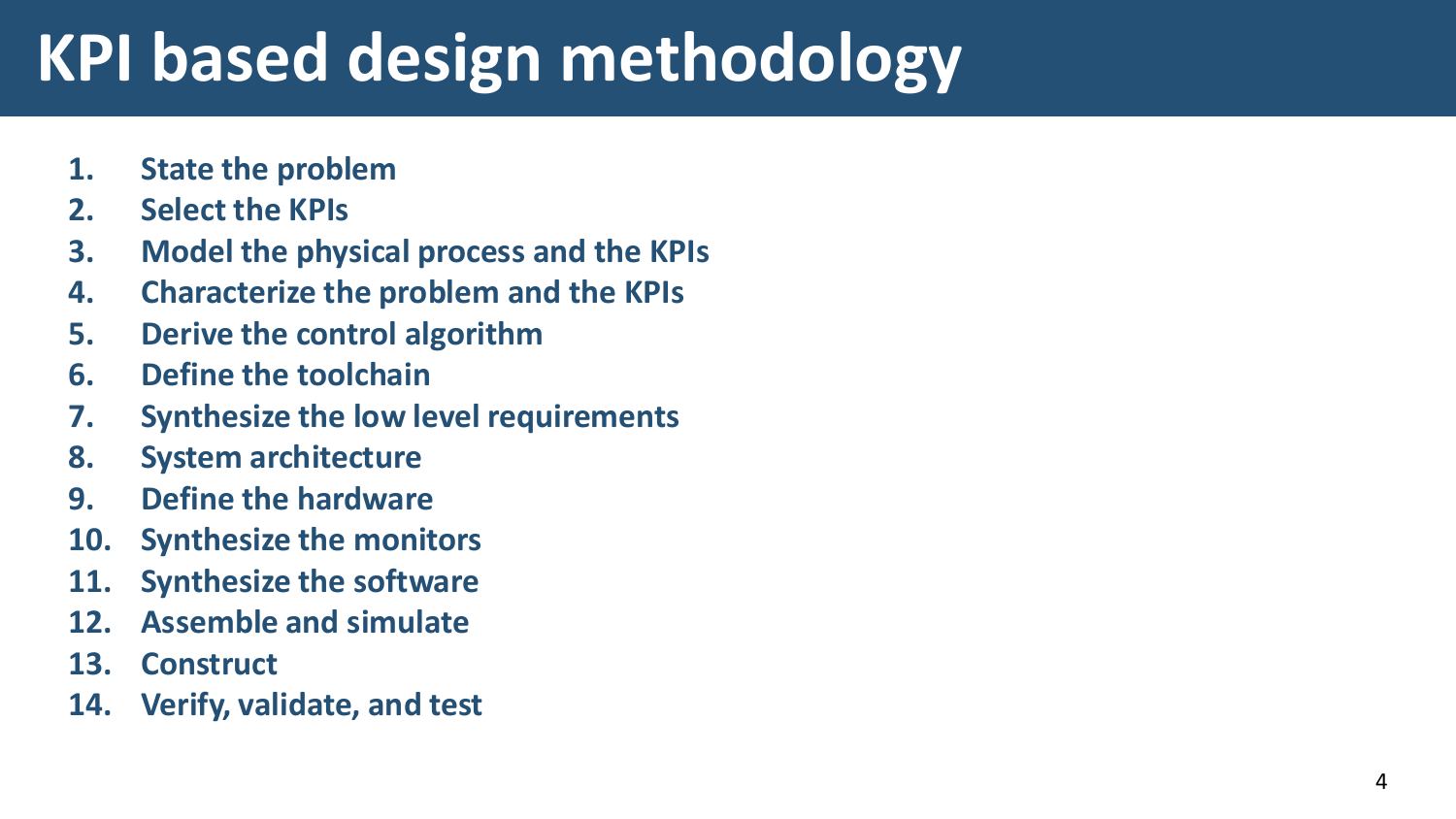# **KPI based design methodology**

- **1. State the problem**
- **2. Select the KPIs**
- **3. Model the physical process and the KPIs**
- **4. Characterize the problem and the KPIs**
- **5. Derive the control algorithm**
- **6. Define the toolchain**
- **7. Synthesize the low level requirements**
- **8. System architecture**
- **9. Define the hardware**
- **10. Synthesize the monitors**
- **11. Synthesize the software**
- **12. Assemble and simulate**
- **13. Construct**
- **14. Verify, validate, and test**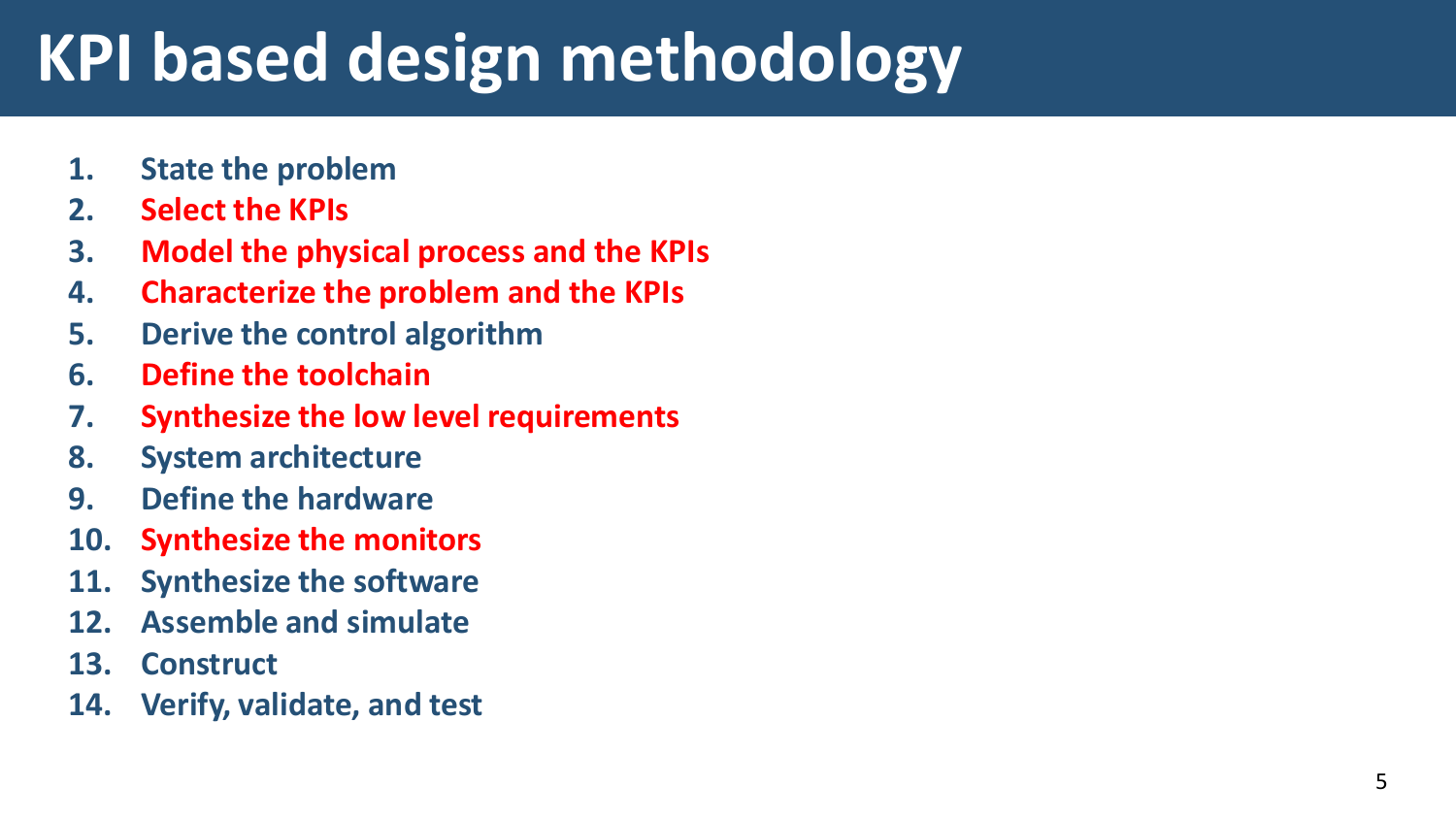# **KPI based design methodology**

- **1. State the problem**
- **2. Select the KPIs**
- **3. Model the physical process and the KPIs**
- **4. Characterize the problem and the KPIs**
- **5. Derive the control algorithm**
- **6. Define the toolchain**
- **7. Synthesize the low level requirements**
- **8. System architecture**
- **9. Define the hardware**
- **10. Synthesize the monitors**
- **11. Synthesize the software**
- **12. Assemble and simulate**
- **13. Construct**
- **14. Verify, validate, and test**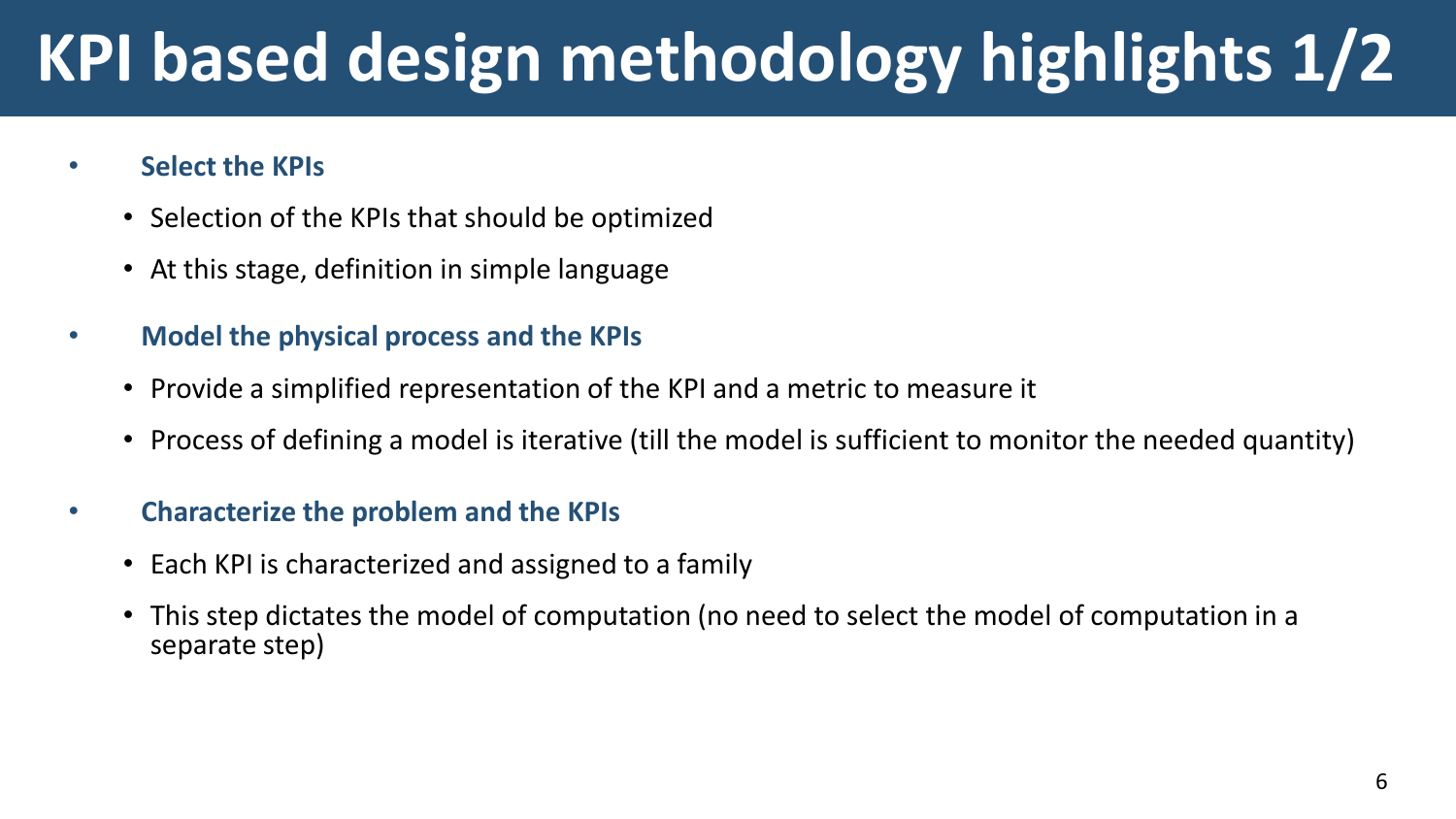# **KPI based design methodology highlights 1/2**

#### • **Select the KPIs**

- Selection of the KPIs that should be optimized
- At this stage, definition in simple language
- **Model the physical process and the KPIs**
	- Provide a simplified representation of the KPI and a metric to measure it
	- Process of defining a model is iterative (till the model is sufficient to monitor the needed quantity)
- **Characterize the problem and the KPIs**
	- Each KPI is characterized and assigned to a family
	- This step dictates the model of computation (no need to select the model of computation in a separate step)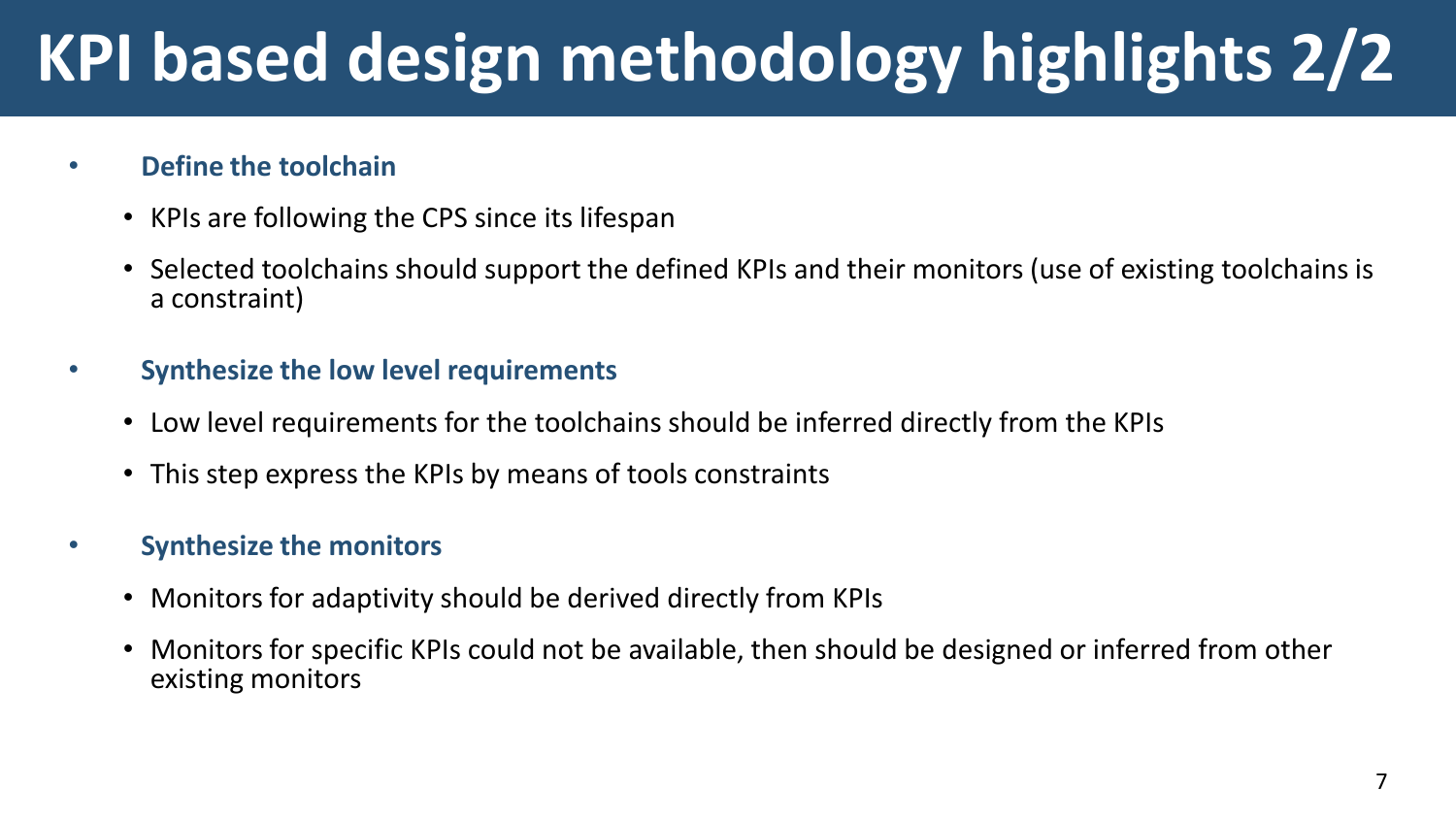# **KPI based design methodology highlights 2/2**

#### • **Define the toolchain**

- KPIs are following the CPS since its lifespan
- Selected toolchains should support the defined KPIs and their monitors (use of existing toolchains is a constraint)
- **Synthesize the low level requirements**
	- Low level requirements for the toolchains should be inferred directly from the KPIs
	- This step express the KPIs by means of tools constraints

#### • **Synthesize the monitors**

- Monitors for adaptivity should be derived directly from KPIs
- Monitors for specific KPIs could not be available, then should be designed or inferred from other existing monitors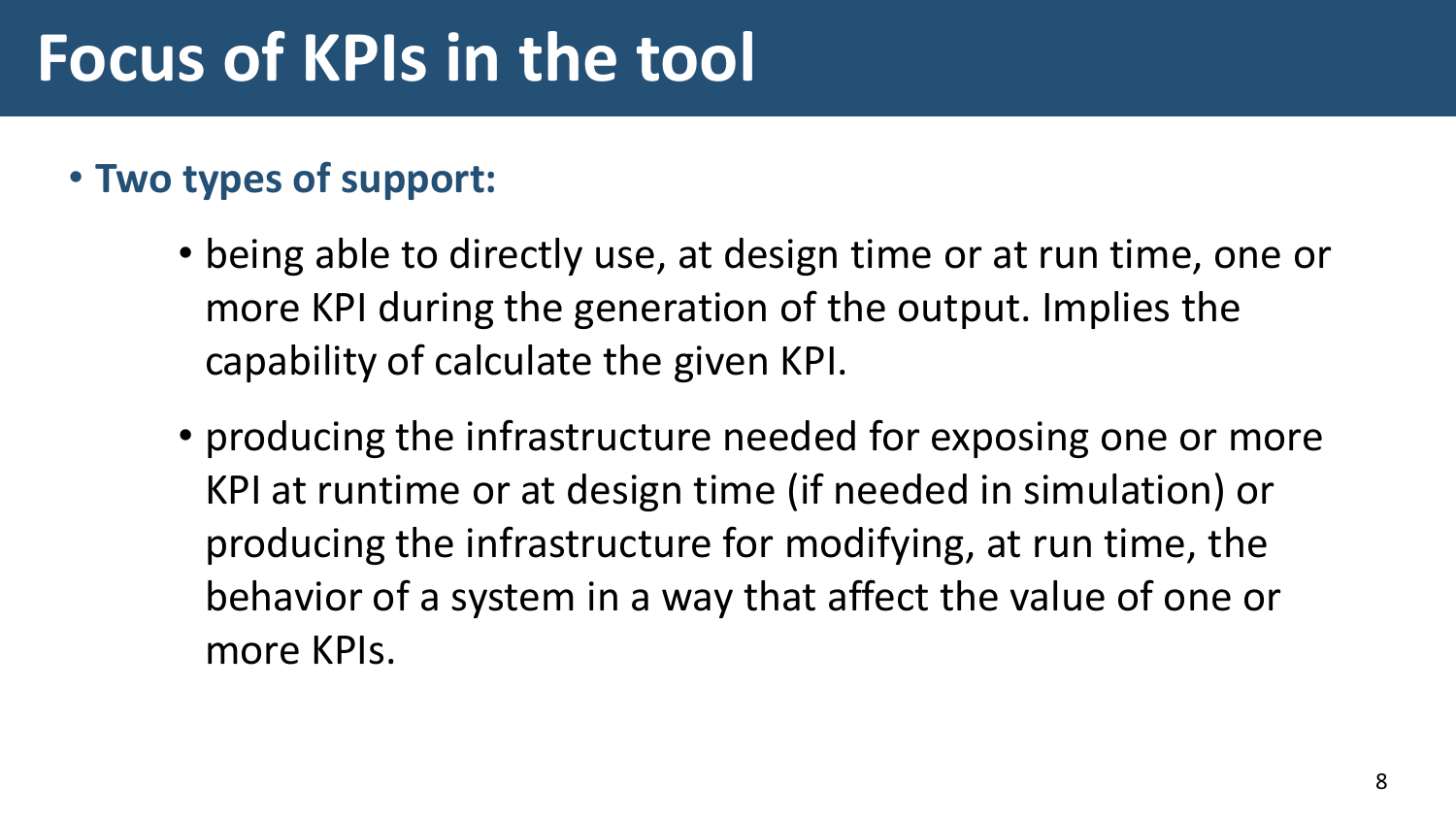### **Focus of KPIs in the tool**

### • **Two types of support:**

- being able to directly use, at design time or at run time, one or more KPI during the generation of the output. Implies the capability of calculate the given KPI.
- producing the infrastructure needed for exposing one or more KPI at runtime or at design time (if needed in simulation) or producing the infrastructure for modifying, at run time, the behavior of a system in a way that affect the value of one or more KPIs.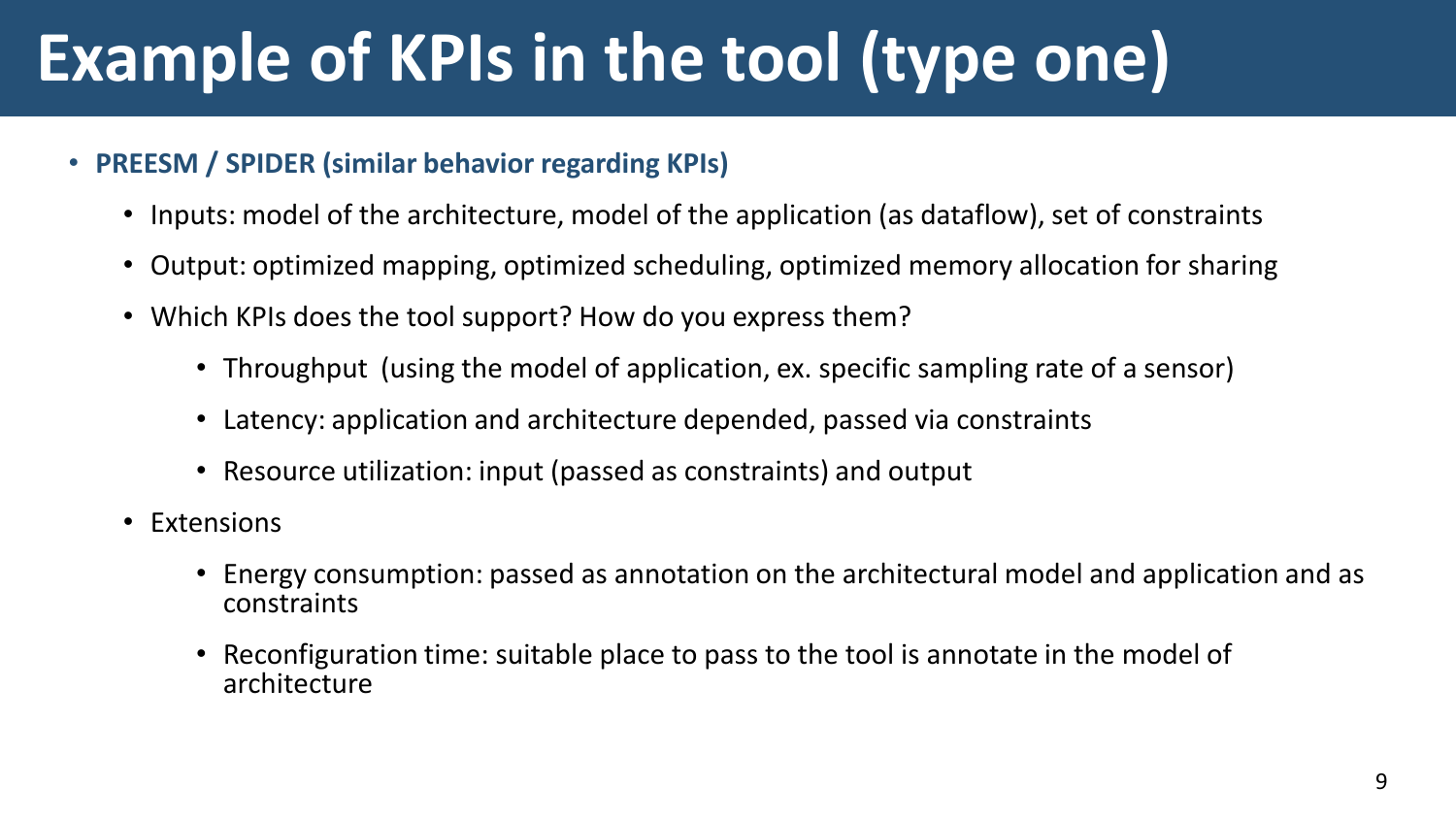# **Example of KPIs in the tool (type one)**

#### • **PREESM / SPIDER (similar behavior regarding KPIs)**

- Inputs: model of the architecture, model of the application (as dataflow), set of constraints
- Output: optimized mapping, optimized scheduling, optimized memory allocation for sharing
- Which KPIs does the tool support? How do you express them?
	- Throughput (using the model of application, ex. specific sampling rate of a sensor)
	- Latency: application and architecture depended, passed via constraints
	- Resource utilization: input (passed as constraints) and output
- Extensions
	- Energy consumption: passed as annotation on the architectural model and application and as constraints
	- Reconfiguration time: suitable place to pass to the tool is annotate in the model of architecture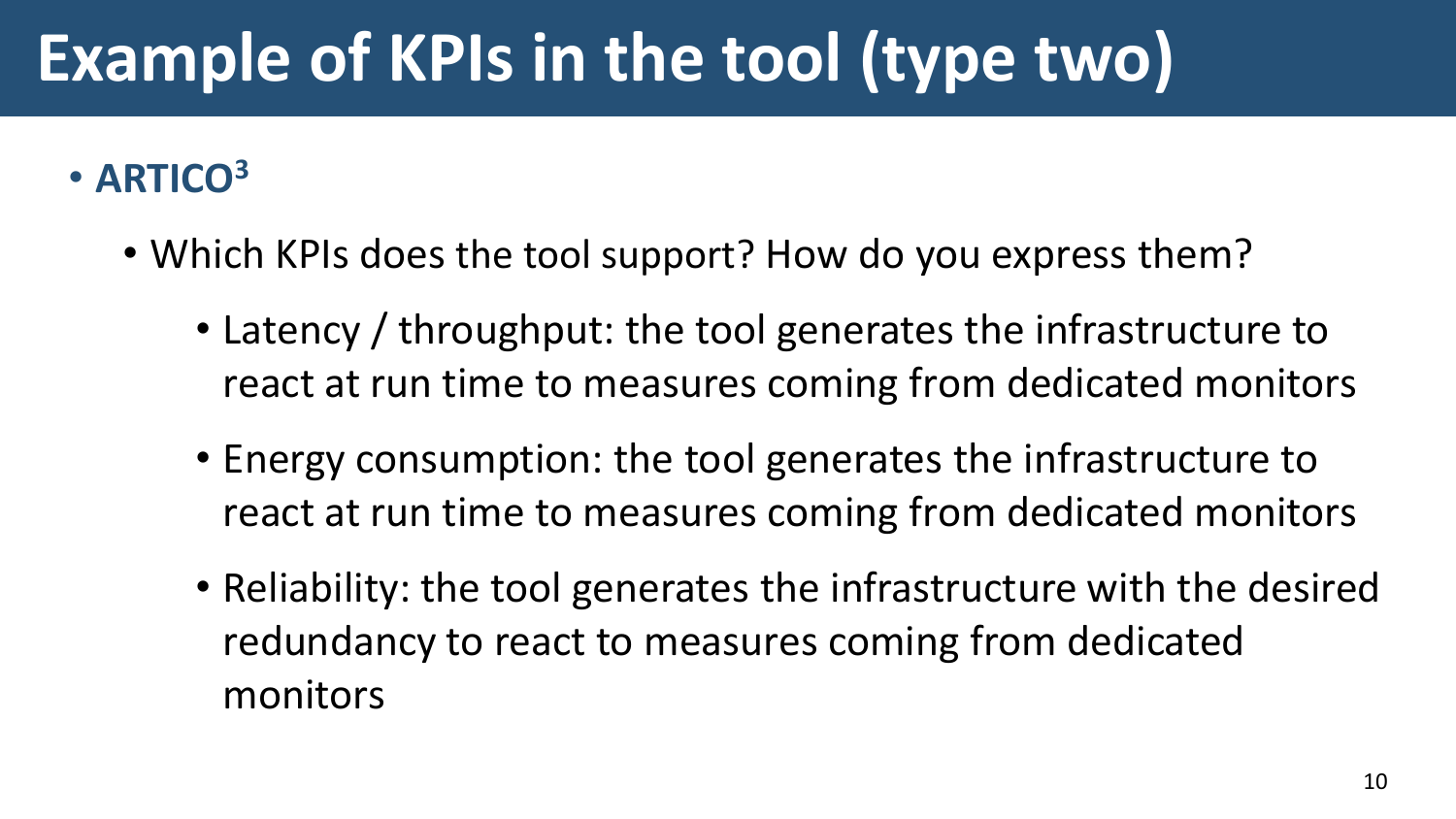# **Example of KPIs in the tool (type two)**

### • **ARTICO<sup>3</sup>**

- Which KPIs does the tool support? How do you express them?
	- Latency / throughput: the tool generates the infrastructure to react at run time to measures coming from dedicated monitors
	- Energy consumption: the tool generates the infrastructure to react at run time to measures coming from dedicated monitors
	- Reliability: the tool generates the infrastructure with the desired redundancy to react to measures coming from dedicated monitors